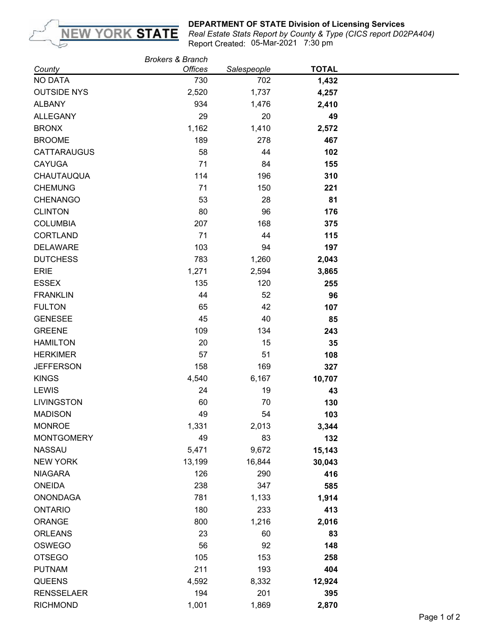

## **DEPARTMENT OF STATE Division of Licensing Services**

05-Mar-2021 7:30 pm *Real Estate Stats Report by County & Type (CICS report D02PA404)* Report Created:

|                    | <b>Brokers &amp; Branch</b> |             |              |  |
|--------------------|-----------------------------|-------------|--------------|--|
| County             | <b>Offices</b>              | Salespeople | <b>TOTAL</b> |  |
| <b>NO DATA</b>     | 730                         | 702         | 1,432        |  |
| <b>OUTSIDE NYS</b> | 2,520                       | 1,737       | 4,257        |  |
| <b>ALBANY</b>      | 934                         | 1,476       | 2,410        |  |
| <b>ALLEGANY</b>    | 29                          | 20          | 49           |  |
| <b>BRONX</b>       | 1,162                       | 1,410       | 2,572        |  |
| <b>BROOME</b>      | 189                         | 278         | 467          |  |
| <b>CATTARAUGUS</b> | 58                          | 44          | 102          |  |
| <b>CAYUGA</b>      | 71                          | 84          | 155          |  |
| CHAUTAUQUA         | 114                         | 196         | 310          |  |
| <b>CHEMUNG</b>     | 71                          | 150         | 221          |  |
| <b>CHENANGO</b>    | 53                          | 28          | 81           |  |
| <b>CLINTON</b>     | 80                          | 96          | 176          |  |
| <b>COLUMBIA</b>    | 207                         | 168         | 375          |  |
| <b>CORTLAND</b>    | 71                          | 44          | 115          |  |
| <b>DELAWARE</b>    | 103                         | 94          | 197          |  |
| <b>DUTCHESS</b>    | 783                         | 1,260       | 2,043        |  |
| <b>ERIE</b>        | 1,271                       | 2,594       | 3,865        |  |
| <b>ESSEX</b>       | 135                         | 120         | 255          |  |
| <b>FRANKLIN</b>    | 44                          | 52          | 96           |  |
| <b>FULTON</b>      | 65                          | 42          | 107          |  |
| <b>GENESEE</b>     | 45                          | 40          | 85           |  |
| <b>GREENE</b>      | 109                         | 134         | 243          |  |
| <b>HAMILTON</b>    | 20                          | 15          | 35           |  |
| <b>HERKIMER</b>    | 57                          | 51          | 108          |  |
| <b>JEFFERSON</b>   | 158                         | 169         | 327          |  |
| <b>KINGS</b>       | 4,540                       | 6,167       | 10,707       |  |
| <b>LEWIS</b>       | 24                          | 19          | 43           |  |
| <b>LIVINGSTON</b>  | 60                          | 70          | 130          |  |
| <b>MADISON</b>     | 49                          | 54          | 103          |  |
| <b>MONROE</b>      | 1,331                       | 2,013       | 3,344        |  |
| <b>MONTGOMERY</b>  | 49                          | 83          | 132          |  |
| <b>NASSAU</b>      | 5,471                       | 9,672       | 15,143       |  |
| <b>NEW YORK</b>    | 13,199                      | 16,844      | 30,043       |  |
| <b>NIAGARA</b>     | 126                         | 290         | 416          |  |
| <b>ONEIDA</b>      | 238                         | 347         | 585          |  |
| <b>ONONDAGA</b>    | 781                         | 1,133       | 1,914        |  |
| <b>ONTARIO</b>     | 180                         | 233         | 413          |  |
| ORANGE             | 800                         | 1,216       | 2,016        |  |
| <b>ORLEANS</b>     | 23                          | 60          | 83           |  |
| OSWEGO             | 56                          | 92          | 148          |  |
| <b>OTSEGO</b>      | 105                         | 153         | 258          |  |
| <b>PUTNAM</b>      | 211                         | 193         | 404          |  |
| QUEENS             | 4,592                       | 8,332       | 12,924       |  |
| <b>RENSSELAER</b>  | 194                         | 201         | 395          |  |
| <b>RICHMOND</b>    | 1,001                       | 1,869       | 2,870        |  |